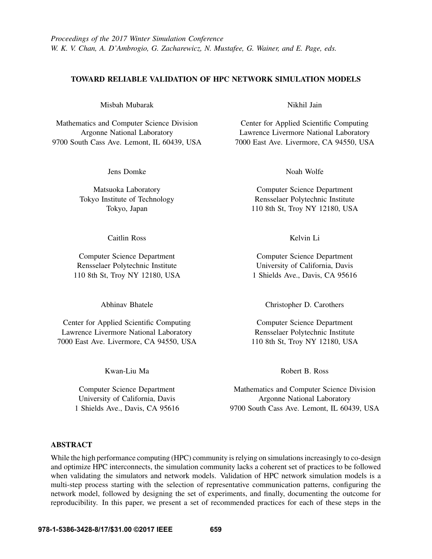# TOWARD RELIABLE VALIDATION OF HPC NETWORK SIMULATION MODELS

Misbah Mubarak

Mathematics and Computer Science Division Argonne National Laboratory 9700 South Cass Ave. Lemont, IL 60439, USA

Jens Domke

Matsuoka Laboratory Tokyo Institute of Technology Tokyo, Japan

Caitlin Ross

Computer Science Department Rensselaer Polytechnic Institute 110 8th St, Troy NY 12180, USA

Abhinav Bhatele

Center for Applied Scientific Computing Lawrence Livermore National Laboratory 7000 East Ave. Livermore, CA 94550, USA

Kwan-Liu Ma

Computer Science Department University of California, Davis 1 Shields Ave., Davis, CA 95616 Nikhil Jain

Center for Applied Scientific Computing Lawrence Livermore National Laboratory 7000 East Ave. Livermore, CA 94550, USA

Noah Wolfe

Computer Science Department Rensselaer Polytechnic Institute 110 8th St, Troy NY 12180, USA

Kelvin Li

Computer Science Department University of California, Davis 1 Shields Ave., Davis, CA 95616

Christopher D. Carothers

Computer Science Department Rensselaer Polytechnic Institute 110 8th St, Troy NY 12180, USA

Robert B. Ross

Mathematics and Computer Science Division Argonne National Laboratory 9700 South Cass Ave. Lemont, IL 60439, USA

## ABSTRACT

While the high performance computing (HPC) community is relying on simulations increasingly to co-design and optimize HPC interconnects, the simulation community lacks a coherent set of practices to be followed when validating the simulators and network models. Validation of HPC network simulation models is a multi-step process starting with the selection of representative communication patterns, configuring the network model, followed by designing the set of experiments, and finally, documenting the outcome for reproducibility. In this paper, we present a set of recommended practices for each of these steps in the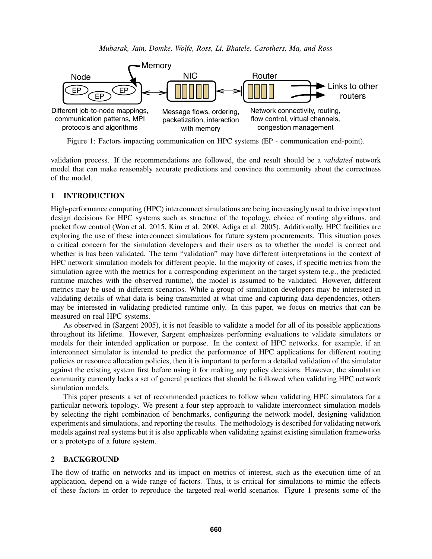

Figure 1: Factors impacting communication on HPC systems (EP - communication end-point).

validation process. If the recommendations are followed, the end result should be a *validated* network model that can make reasonably accurate predictions and convince the community about the correctness of the model.

## 1 INTRODUCTION

High-performance computing (HPC) interconnect simulations are being increasingly used to drive important design decisions for HPC systems such as structure of the topology, choice of routing algorithms, and packet flow control (Won et al. 2015, Kim et al. 2008, Adiga et al. 2005). Additionally, HPC facilities are exploring the use of these interconnect simulations for future system procurements. This situation poses a critical concern for the simulation developers and their users as to whether the model is correct and whether is has been validated. The term "validation" may have different interpretations in the context of HPC network simulation models for different people. In the majority of cases, if specific metrics from the simulation agree with the metrics for a corresponding experiment on the target system (e.g., the predicted runtime matches with the observed runtime), the model is assumed to be validated. However, different metrics may be used in different scenarios. While a group of simulation developers may be interested in validating details of what data is being transmitted at what time and capturing data dependencies, others may be interested in validating predicted runtime only. In this paper, we focus on metrics that can be measured on real HPC systems.

As observed in (Sargent 2005), it is not feasible to validate a model for all of its possible applications throughout its lifetime. However, Sargent emphasizes performing evaluations to validate simulators or models for their intended application or purpose. In the context of HPC networks, for example, if an interconnect simulator is intended to predict the performance of HPC applications for different routing policies or resource allocation policies, then it is important to perform a detailed validation of the simulator against the existing system first before using it for making any policy decisions. However, the simulation community currently lacks a set of general practices that should be followed when validating HPC network simulation models.

This paper presents a set of recommended practices to follow when validating HPC simulators for a particular network topology. We present a four step approach to validate interconnect simulation models by selecting the right combination of benchmarks, configuring the network model, designing validation experiments and simulations, and reporting the results. The methodology is described for validating network models against real systems but it is also applicable when validating against existing simulation frameworks or a prototype of a future system.

## 2 BACKGROUND

The flow of traffic on networks and its impact on metrics of interest, such as the execution time of an application, depend on a wide range of factors. Thus, it is critical for simulations to mimic the effects of these factors in order to reproduce the targeted real-world scenarios. Figure 1 presents some of the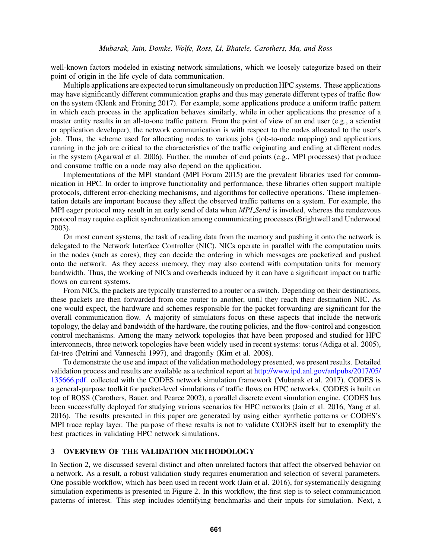well-known factors modeled in existing network simulations, which we loosely categorize based on their point of origin in the life cycle of data communication.

Multiple applications are expected to run simultaneously on production HPC systems. These applications may have significantly different communication graphs and thus may generate different types of traffic flow on the system (Klenk and Fröning 2017). For example, some applications produce a uniform traffic pattern in which each process in the application behaves similarly, while in other applications the presence of a master entity results in an all-to-one traffic pattern. From the point of view of an end user (e.g., a scientist or application developer), the network communication is with respect to the nodes allocated to the user's job. Thus, the scheme used for allocating nodes to various jobs (job-to-node mapping) and applications running in the job are critical to the characteristics of the traffic originating and ending at different nodes in the system (Agarwal et al. 2006). Further, the number of end points (e.g., MPI processes) that produce and consume traffic on a node may also depend on the application.

Implementations of the MPI standard (MPI Forum 2015) are the prevalent libraries used for communication in HPC. In order to improve functionality and performance, these libraries often support multiple protocols, different error-checking mechanisms, and algorithms for collective operations. These implementation details are important because they affect the observed traffic patterns on a system. For example, the MPI eager protocol may result in an early send of data when *MPI Send* is invoked, whereas the rendezvous protocol may require explicit synchronization among communicating processes (Brightwell and Underwood 2003).

On most current systems, the task of reading data from the memory and pushing it onto the network is delegated to the Network Interface Controller (NIC). NICs operate in parallel with the computation units in the nodes (such as cores), they can decide the ordering in which messages are packetized and pushed onto the network. As they access memory, they may also contend with computation units for memory bandwidth. Thus, the working of NICs and overheads induced by it can have a significant impact on traffic flows on current systems.

From NICs, the packets are typically transferred to a router or a switch. Depending on their destinations, these packets are then forwarded from one router to another, until they reach their destination NIC. As one would expect, the hardware and schemes responsible for the packet forwarding are significant for the overall communication flow. A majority of simulators focus on these aspects that include the network topology, the delay and bandwidth of the hardware, the routing policies, and the flow-control and congestion control mechanisms. Among the many network topologies that have been proposed and studied for HPC interconnects, three network topologies have been widely used in recent systems: torus (Adiga et al. 2005), fat-tree (Petrini and Vanneschi 1997), and dragonfly (Kim et al. 2008).

To demonstrate the use and impact of the validation methodology presented, we present results. Detailed validation process and results are available as a technical report at http://www.ipd.anl.gov/anlpubs/2017/05/ 135666.pdf. collected with the CODES network simulation framework (Mubarak et al. 2017). CODES is a general-purpose toolkit for packet-level simulations of traffic flows on HPC networks. CODES is built on top of ROSS (Carothers, Bauer, and Pearce 2002), a parallel discrete event simulation engine. CODES has been successfully deployed for studying various scenarios for HPC networks (Jain et al. 2016, Yang et al. 2016). The results presented in this paper are generated by using either synthetic patterns or CODES's MPI trace replay layer. The purpose of these results is not to validate CODES itself but to exemplify the best practices in validating HPC network simulations.

### 3 OVERVIEW OF THE VALIDATION METHODOLOGY

In Section 2, we discussed several distinct and often unrelated factors that affect the observed behavior on a network. As a result, a robust validation study requires enumeration and selection of several parameters. One possible workflow, which has been used in recent work (Jain et al. 2016), for systematically designing simulation experiments is presented in Figure 2. In this workflow, the first step is to select communication patterns of interest. This step includes identifying benchmarks and their inputs for simulation. Next, a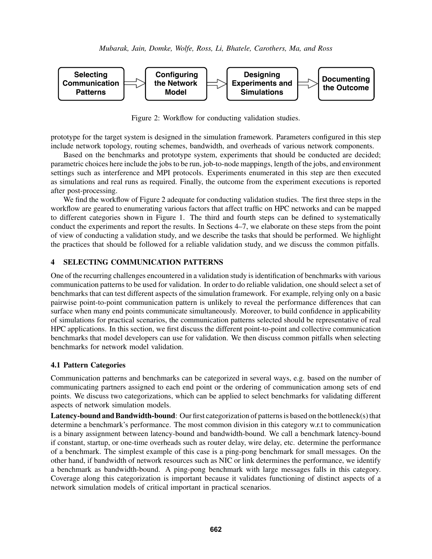

Figure 2: Workflow for conducting validation studies.

prototype for the target system is designed in the simulation framework. Parameters configured in this step include network topology, routing schemes, bandwidth, and overheads of various network components.

Based on the benchmarks and prototype system, experiments that should be conducted are decided; parametric choices here include the jobs to be run, job-to-node mappings, length of the jobs, and environment settings such as interference and MPI protocols. Experiments enumerated in this step are then executed as simulations and real runs as required. Finally, the outcome from the experiment executions is reported after post-processing.

We find the workflow of Figure 2 adequate for conducting validation studies. The first three steps in the workflow are geared to enumerating various factors that affect traffic on HPC networks and can be mapped to different categories shown in Figure 1. The third and fourth steps can be defined to systematically conduct the experiments and report the results. In Sections 4–7, we elaborate on these steps from the point of view of conducting a validation study, and we describe the tasks that should be performed. We highlight the practices that should be followed for a reliable validation study, and we discuss the common pitfalls.

# 4 SELECTING COMMUNICATION PATTERNS

One of the recurring challenges encountered in a validation study is identification of benchmarks with various communication patterns to be used for validation. In order to do reliable validation, one should select a set of benchmarks that can test different aspects of the simulation framework. For example, relying only on a basic pairwise point-to-point communication pattern is unlikely to reveal the performance differences that can surface when many end points communicate simultaneously. Moreover, to build confidence in applicability of simulations for practical scenarios, the communication patterns selected should be representative of real HPC applications. In this section, we first discuss the different point-to-point and collective communication benchmarks that model developers can use for validation. We then discuss common pitfalls when selecting benchmarks for network model validation.

### 4.1 Pattern Categories

Communication patterns and benchmarks can be categorized in several ways, e.g. based on the number of communicating partners assigned to each end point or the ordering of communication among sets of end points. We discuss two categorizations, which can be applied to select benchmarks for validating different aspects of network simulation models.

Latency-bound and Bandwidth-bound: Our first categorization of patterns is based on the bottleneck(s) that determine a benchmark's performance. The most common division in this category w.r.t to communication is a binary assignment between latency-bound and bandwidth-bound. We call a benchmark latency-bound if constant, startup, or one-time overheads such as router delay, wire delay, etc. determine the performance of a benchmark. The simplest example of this case is a ping-pong benchmark for small messages. On the other hand, if bandwidth of network resources such as NIC or link determines the performance, we identify a benchmark as bandwidth-bound. A ping-pong benchmark with large messages falls in this category. Coverage along this categorization is important because it validates functioning of distinct aspects of a network simulation models of critical important in practical scenarios.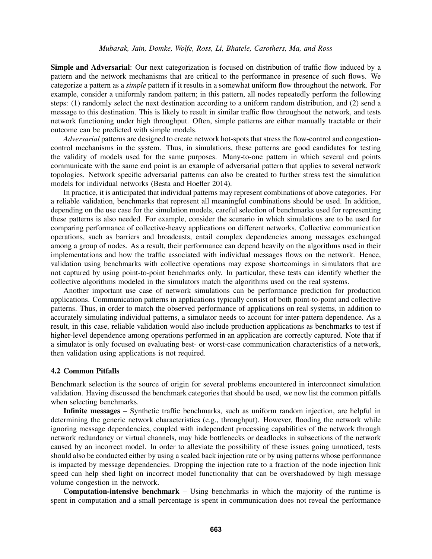Simple and Adversarial: Our next categorization is focused on distribution of traffic flow induced by a pattern and the network mechanisms that are critical to the performance in presence of such flows. We categorize a pattern as a *simple* pattern if it results in a somewhat uniform flow throughout the network. For example, consider a uniformly random pattern; in this pattern, all nodes repeatedly perform the following steps: (1) randomly select the next destination according to a uniform random distribution, and (2) send a message to this destination. This is likely to result in similar traffic flow throughout the network, and tests network functioning under high throughput. Often, simple patterns are either manually tractable or their outcome can be predicted with simple models.

*Adversarial* patterns are designed to create network hot-spots that stress the flow-control and congestioncontrol mechanisms in the system. Thus, in simulations, these patterns are good candidates for testing the validity of models used for the same purposes. Many-to-one pattern in which several end points communicate with the same end point is an example of adversarial pattern that applies to several network topologies. Network specific adversarial patterns can also be created to further stress test the simulation models for individual networks (Besta and Hoefler 2014).

In practice, it is anticipated that individual patterns may represent combinations of above categories. For a reliable validation, benchmarks that represent all meaningful combinations should be used. In addition, depending on the use case for the simulation models, careful selection of benchmarks used for representing these patterns is also needed. For example, consider the scenario in which simulations are to be used for comparing performance of collective-heavy applications on different networks. Collective communication operations, such as barriers and broadcasts, entail complex dependencies among messages exchanged among a group of nodes. As a result, their performance can depend heavily on the algorithms used in their implementations and how the traffic associated with individual messages flows on the network. Hence, validation using benchmarks with collective operations may expose shortcomings in simulators that are not captured by using point-to-point benchmarks only. In particular, these tests can identify whether the collective algorithms modeled in the simulators match the algorithms used on the real systems.

Another important use case of network simulations can be performance prediction for production applications. Communication patterns in applications typically consist of both point-to-point and collective patterns. Thus, in order to match the observed performance of applications on real systems, in addition to accurately simulating individual patterns, a simulator needs to account for inter-pattern dependence. As a result, in this case, reliable validation would also include production applications as benchmarks to test if higher-level dependence among operations performed in an application are correctly captured. Note that if a simulator is only focused on evaluating best- or worst-case communication characteristics of a network, then validation using applications is not required.

#### 4.2 Common Pitfalls

Benchmark selection is the source of origin for several problems encountered in interconnect simulation validation. Having discussed the benchmark categories that should be used, we now list the common pitfalls when selecting benchmarks.

Infinite messages – Synthetic traffic benchmarks, such as uniform random injection, are helpful in determining the generic network characteristics (e.g., throughput). However, flooding the network while ignoring message dependencies, coupled with independent processing capabilities of the network through network redundancy or virtual channels, may hide bottlenecks or deadlocks in subsections of the network caused by an incorrect model. In order to alleviate the possibility of these issues going unnoticed, tests should also be conducted either by using a scaled back injection rate or by using patterns whose performance is impacted by message dependencies. Dropping the injection rate to a fraction of the node injection link speed can help shed light on incorrect model functionality that can be overshadowed by high message volume congestion in the network.

Computation-intensive benchmark – Using benchmarks in which the majority of the runtime is spent in computation and a small percentage is spent in communication does not reveal the performance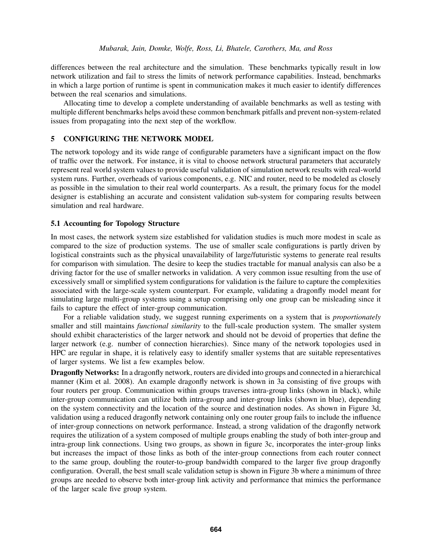differences between the real architecture and the simulation. These benchmarks typically result in low network utilization and fail to stress the limits of network performance capabilities. Instead, benchmarks in which a large portion of runtime is spent in communication makes it much easier to identify differences between the real scenarios and simulations.

Allocating time to develop a complete understanding of available benchmarks as well as testing with multiple different benchmarks helps avoid these common benchmark pitfalls and prevent non-system-related issues from propagating into the next step of the workflow.

## 5 CONFIGURING THE NETWORK MODEL

The network topology and its wide range of configurable parameters have a significant impact on the flow of traffic over the network. For instance, it is vital to choose network structural parameters that accurately represent real world system values to provide useful validation of simulation network results with real-world system runs. Further, overheads of various components, e.g. NIC and router, need to be modeled as closely as possible in the simulation to their real world counterparts. As a result, the primary focus for the model designer is establishing an accurate and consistent validation sub-system for comparing results between simulation and real hardware.

## 5.1 Accounting for Topology Structure

In most cases, the network system size established for validation studies is much more modest in scale as compared to the size of production systems. The use of smaller scale configurations is partly driven by logistical constraints such as the physical unavailability of large/futuristic systems to generate real results for comparison with simulation. The desire to keep the studies tractable for manual analysis can also be a driving factor for the use of smaller networks in validation. A very common issue resulting from the use of excessively small or simplified system configurations for validation is the failure to capture the complexities associated with the large-scale system counterpart. For example, validating a dragonfly model meant for simulating large multi-group systems using a setup comprising only one group can be misleading since it fails to capture the effect of inter-group communication.

For a reliable validation study, we suggest running experiments on a system that is *proportionately* smaller and still maintains *functional similarity* to the full-scale production system. The smaller system should exhibit characteristics of the larger network and should not be devoid of properties that define the larger network (e.g. number of connection hierarchies). Since many of the network topologies used in HPC are regular in shape, it is relatively easy to identify smaller systems that are suitable representatives of larger systems. We list a few examples below.

Dragonfly Networks: In a dragonfly network, routers are divided into groups and connected in a hierarchical manner (Kim et al. 2008). An example dragonfly network is shown in 3a consisting of five groups with four routers per group. Communication within groups traverses intra-group links (shown in black), while inter-group communication can utilize both intra-group and inter-group links (shown in blue), depending on the system connectivity and the location of the source and destination nodes. As shown in Figure 3d, validation using a reduced dragonfly network containing only one router group fails to include the influence of inter-group connections on network performance. Instead, a strong validation of the dragonfly network requires the utilization of a system composed of multiple groups enabling the study of both inter-group and intra-group link connections. Using two groups, as shown in figure 3c, incorporates the inter-group links but increases the impact of those links as both of the inter-group connections from each router connect to the same group, doubling the router-to-group bandwidth compared to the larger five group dragonfly configuration. Overall, the best small scale validation setup is shown in Figure 3b where a minimum of three groups are needed to observe both inter-group link activity and performance that mimics the performance of the larger scale five group system.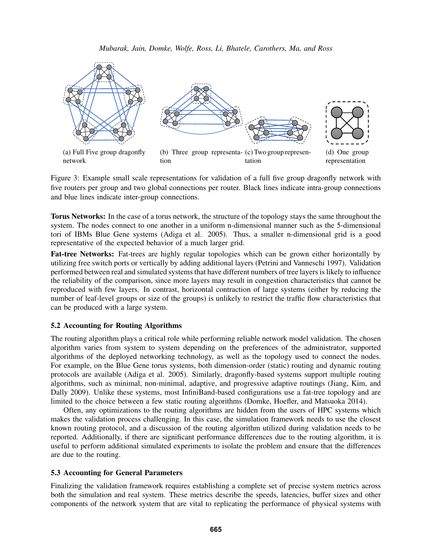

Figure 3: Example small scale representations for validation of a full five group dragonfly network with five routers per group and two global connections per router. Black lines indicate intra-group connections and blue lines indicate inter-group connections.

Torus Networks: In the case of a torus network, the structure of the topology stays the same throughout the system. The nodes connect to one another in a uniform n-dimensional manner such as the 5-dimensional tori of IBMs Blue Gene systems (Adiga et al. 2005). Thus, a smaller n-dimensional grid is a good representative of the expected behavior of a much larger grid.

Fat-tree Networks: Fat-trees are highly regular topologies which can be grown either horizontally by utilizing free switch ports or vertically by adding additional layers (Petrini and Vanneschi 1997). Validation performed between real and simulated systems that have different numbers of tree layers is likely to influence the reliability of the comparison, since more layers may result in congestion characteristics that cannot be reproduced with few layers. In contrast, horizontal contraction of large systems (either by reducing the number of leaf-level groups or size of the groups) is unlikely to restrict the traffic flow characteristics that can be produced with a large system.

### 5.2 Accounting for Routing Algorithms

The routing algorithm plays a critical role while performing reliable network model validation. The chosen algorithm varies from system to system depending on the preferences of the administrator, supported algorithms of the deployed networking technology, as well as the topology used to connect the nodes. For example, on the Blue Gene torus systems, both dimension-order (static) routing and dynamic routing protocols are available (Adiga et al. 2005). Similarly, dragonfly-based systems support multiple routing algorithms, such as minimal, non-minimal, adaptive, and progressive adaptive routings (Jiang, Kim, and Dally 2009). Unlike these systems, most InfiniBand-based configurations use a fat-tree topology and are limited to the choice between a few static routing algorithms (Domke, Hoefler, and Matsuoka 2014).

Often, any optimizations to the routing algorithms are hidden from the users of HPC systems which makes the validation process challenging. In this case, the simulation framework needs to use the closest known routing protocol, and a discussion of the routing algorithm utilized during validation needs to be reported. Additionally, if there are significant performance differences due to the routing algorithm, it is useful to perform additional simulated experiments to isolate the problem and ensure that the differences are due to the routing.

#### 5.3 Accounting for General Parameters

Finalizing the validation framework requires establishing a complete set of precise system metrics across both the simulation and real system. These metrics describe the speeds, latencies, buffer sizes and other components of the network system that are vital to replicating the performance of physical systems with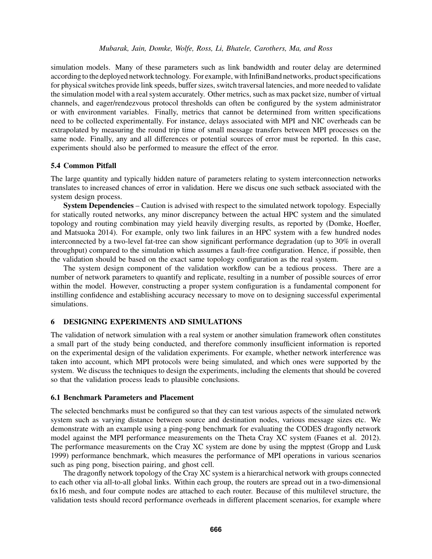simulation models. Many of these parameters such as link bandwidth and router delay are determined according to the deployed network technology. For example, with InfiniBand networks, product specifications for physical switches provide link speeds, buffer sizes, switch traversal latencies, and more needed to validate the simulation model with a real system accurately. Other metrics, such as max packet size, number of virtual channels, and eager/rendezvous protocol thresholds can often be configured by the system administrator or with environment variables. Finally, metrics that cannot be determined from written specifications need to be collected experimentally. For instance, delays associated with MPI and NIC overheads can be extrapolated by measuring the round trip time of small message transfers between MPI processes on the same node. Finally, any and all differences or potential sources of error must be reported. In this case, experiments should also be performed to measure the effect of the error.

#### 5.4 Common Pitfall

The large quantity and typically hidden nature of parameters relating to system interconnection networks translates to increased chances of error in validation. Here we discus one such setback associated with the system design process.

System Dependencies – Caution is advised with respect to the simulated network topology. Especially for statically routed networks, any minor discrepancy between the actual HPC system and the simulated topology and routing combination may yield heavily diverging results, as reported by (Domke, Hoefler, and Matsuoka 2014). For example, only two link failures in an HPC system with a few hundred nodes interconnected by a two-level fat-tree can show significant performance degradation (up to 30% in overall throughput) compared to the simulation which assumes a fault-free configuration. Hence, if possible, then the validation should be based on the exact same topology configuration as the real system.

The system design component of the validation workflow can be a tedious process. There are a number of network parameters to quantify and replicate, resulting in a number of possible sources of error within the model. However, constructing a proper system configuration is a fundamental component for instilling confidence and establishing accuracy necessary to move on to designing successful experimental simulations.

## 6 DESIGNING EXPERIMENTS AND SIMULATIONS

The validation of network simulation with a real system or another simulation framework often constitutes a small part of the study being conducted, and therefore commonly insufficient information is reported on the experimental design of the validation experiments. For example, whether network interference was taken into account, which MPI protocols were being simulated, and which ones were supported by the system. We discuss the techniques to design the experiments, including the elements that should be covered so that the validation process leads to plausible conclusions.

### 6.1 Benchmark Parameters and Placement

The selected benchmarks must be configured so that they can test various aspects of the simulated network system such as varying distance between source and destination nodes, various message sizes etc. We demonstrate with an example using a ping-pong benchmark for evaluating the CODES dragonfly network model against the MPI performance measurements on the Theta Cray XC system (Faanes et al. 2012). The performance measurements on the Cray XC system are done by using the mpptest (Gropp and Lusk 1999) performance benchmark, which measures the performance of MPI operations in various scenarios such as ping pong, bisection pairing, and ghost cell.

The dragonfly network topology of the Cray XC system is a hierarchical network with groups connected to each other via all-to-all global links. Within each group, the routers are spread out in a two-dimensional 6x16 mesh, and four compute nodes are attached to each router. Because of this multilevel structure, the validation tests should record performance overheads in different placement scenarios, for example where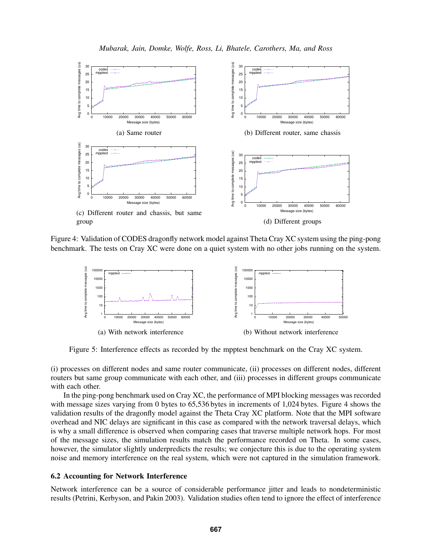

*Mubarak, Jain, Domke, Wolfe, Ross, Li, Bhatele, Carothers, Ma, and Ross*

Figure 4: Validation of CODES dragonfly network model against Theta Cray XC system using the ping-pong benchmark. The tests on Cray XC were done on a quiet system with no other jobs running on the system.



Figure 5: Interference effects as recorded by the mpptest benchmark on the Cray XC system.

(i) processes on different nodes and same router communicate, (ii) processes on different nodes, different routers but same group communicate with each other, and (iii) processes in different groups communicate with each other.

In the ping-pong benchmark used on Cray XC, the performance of MPI blocking messages was recorded with message sizes varying from 0 bytes to 65,536 bytes in increments of 1,024 bytes. Figure 4 shows the validation results of the dragonfly model against the Theta Cray XC platform. Note that the MPI software overhead and NIC delays are significant in this case as compared with the network traversal delays, which is why a small difference is observed when comparing cases that traverse multiple network hops. For most of the message sizes, the simulation results match the performance recorded on Theta. In some cases, however, the simulator slightly underpredicts the results; we conjecture this is due to the operating system noise and memory interference on the real system, which were not captured in the simulation framework.

#### 6.2 Accounting for Network Interference

Network interference can be a source of considerable performance jitter and leads to nondeterministic results (Petrini, Kerbyson, and Pakin 2003). Validation studies often tend to ignore the effect of interference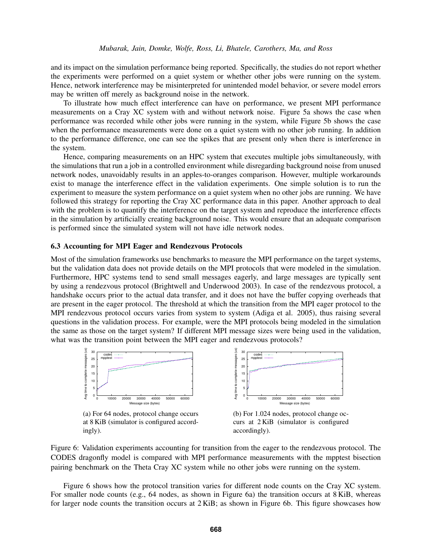and its impact on the simulation performance being reported. Specifically, the studies do not report whether the experiments were performed on a quiet system or whether other jobs were running on the system. Hence, network interference may be misinterpreted for unintended model behavior, or severe model errors may be written off merely as background noise in the network.

To illustrate how much effect interference can have on performance, we present MPI performance measurements on a Cray XC system with and without network noise. Figure 5a shows the case when performance was recorded while other jobs were running in the system, while Figure 5b shows the case when the performance measurements were done on a quiet system with no other job running. In addition to the performance difference, one can see the spikes that are present only when there is interference in the system.

Hence, comparing measurements on an HPC system that executes multiple jobs simultaneously, with the simulations that run a job in a controlled environment while disregarding background noise from unused network nodes, unavoidably results in an apples-to-oranges comparison. However, multiple workarounds exist to manage the interference effect in the validation experiments. One simple solution is to run the experiment to measure the system performance on a quiet system when no other jobs are running. We have followed this strategy for reporting the Cray XC performance data in this paper. Another approach to deal with the problem is to quantify the interference on the target system and reproduce the interference effects in the simulation by artificially creating background noise. This would ensure that an adequate comparison is performed since the simulated system will not have idle network nodes.

#### 6.3 Accounting for MPI Eager and Rendezvous Protocols

Most of the simulation frameworks use benchmarks to measure the MPI performance on the target systems, but the validation data does not provide details on the MPI protocols that were modeled in the simulation. Furthermore, HPC systems tend to send small messages eagerly, and large messages are typically sent by using a rendezvous protocol (Brightwell and Underwood 2003). In case of the rendezvous protocol, a handshake occurs prior to the actual data transfer, and it does not have the buffer copying overheads that are present in the eager protocol. The threshold at which the transition from the MPI eager protocol to the MPI rendezvous protocol occurs varies from system to system (Adiga et al. 2005), thus raising several questions in the validation process. For example, were the MPI protocols being modeled in the simulation the same as those on the target system? If different MPI message sizes were being used in the validation, what was the transition point between the MPI eager and rendezvous protocols?



(a) For 64 nodes, protocol change occurs at 8 KiB (simulator is configured accordingly).



(b) For 1.024 nodes, protocol change occurs at 2 KiB (simulator is configured accordingly).

Figure 6: Validation experiments accounting for transition from the eager to the rendezvous protocol. The CODES dragonfly model is compared with MPI performance measurements with the mpptest bisection pairing benchmark on the Theta Cray XC system while no other jobs were running on the system.

Figure 6 shows how the protocol transition varies for different node counts on the Cray XC system. For smaller node counts (e.g., 64 nodes, as shown in Figure 6a) the transition occurs at 8 KiB, whereas for larger node counts the transition occurs at 2 KiB; as shown in Figure 6b. This figure showcases how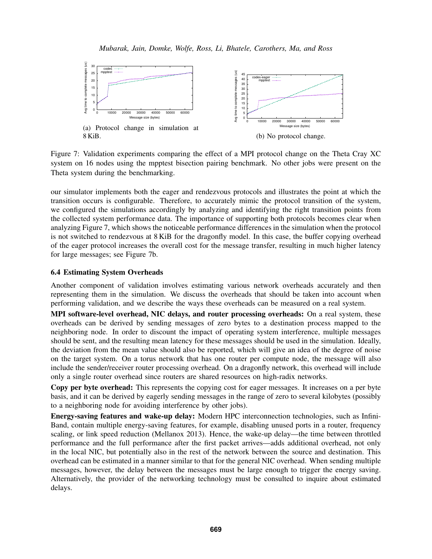

Figure 7: Validation experiments comparing the effect of a MPI protocol change on the Theta Cray XC system on 16 nodes using the mpptest bisection pairing benchmark. No other jobs were present on the Theta system during the benchmarking.

our simulator implements both the eager and rendezvous protocols and illustrates the point at which the transition occurs is configurable. Therefore, to accurately mimic the protocol transition of the system, we configured the simulations accordingly by analyzing and identifying the right transition points from the collected system performance data. The importance of supporting both protocols becomes clear when analyzing Figure 7, which shows the noticeable performance differences in the simulation when the protocol is not switched to rendezvous at 8 KiB for the dragonfly model. In this case, the buffer copying overhead of the eager protocol increases the overall cost for the message transfer, resulting in much higher latency for large messages; see Figure 7b.

### 6.4 Estimating System Overheads

Another component of validation involves estimating various network overheads accurately and then representing them in the simulation. We discuss the overheads that should be taken into account when performing validation, and we describe the ways these overheads can be measured on a real system.

MPI software-level overhead, NIC delays, and router processing overheads: On a real system, these overheads can be derived by sending messages of zero bytes to a destination process mapped to the neighboring node. In order to discount the impact of operating system interference, multiple messages should be sent, and the resulting mean latency for these messages should be used in the simulation. Ideally, the deviation from the mean value should also be reported, which will give an idea of the degree of noise on the target system. On a torus network that has one router per compute node, the message will also include the sender/receiver router processing overhead. On a dragonfly network, this overhead will include only a single router overhead since routers are shared resources on high-radix networks.

Copy per byte overhead: This represents the copying cost for eager messages. It increases on a per byte basis, and it can be derived by eagerly sending messages in the range of zero to several kilobytes (possibly to a neighboring node for avoiding interference by other jobs).

Energy-saving features and wake-up delay: Modern HPC interconnection technologies, such as Infini-Band, contain multiple energy-saving features, for example, disabling unused ports in a router, frequency scaling, or link speed reduction (Mellanox 2013). Hence, the wake-up delay—the time between throttled performance and the full performance after the first packet arrives—adds additional overhead, not only in the local NIC, but potentially also in the rest of the network between the source and destination. This overhead can be estimated in a manner similar to that for the general NIC overhead. When sending multiple messages, however, the delay between the messages must be large enough to trigger the energy saving. Alternatively, the provider of the networking technology must be consulted to inquire about estimated delays.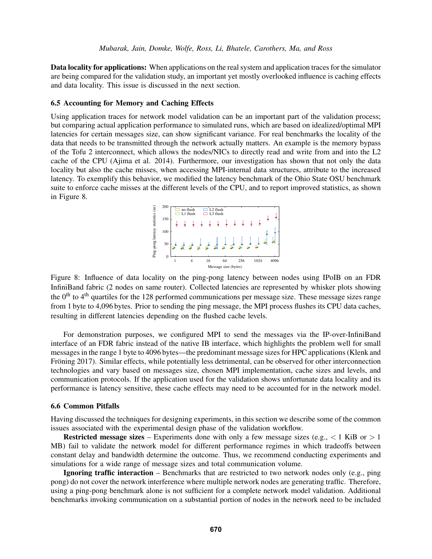Data locality for applications: When applications on the real system and application traces for the simulator are being compared for the validation study, an important yet mostly overlooked influence is caching effects and data locality. This issue is discussed in the next section.

### 6.5 Accounting for Memory and Caching Effects

Using application traces for network model validation can be an important part of the validation process; but comparing actual application performance to simulated runs, which are based on idealized/optimal MPI latencies for certain messages size, can show significant variance. For real benchmarks the locality of the data that needs to be transmitted through the network actually matters. An example is the memory bypass of the Tofu 2 interconnect, which allows the nodes/NICs to directly read and write from and into the L2 cache of the CPU (Ajima et al. 2014). Furthermore, our investigation has shown that not only the data locality but also the cache misses, when accessing MPI-internal data structures, attribute to the increased latency. To exemplify this behavior, we modified the latency benchmark of the Ohio State OSU benchmark suite to enforce cache misses at the different levels of the CPU, and to report improved statistics, as shown in Figure 8.



Figure 8: Influence of data locality on the ping-pong latency between nodes using IPoIB on an FDR InfiniBand fabric (2 nodes on same router). Collected latencies are represented by whisker plots showing the  $0<sup>th</sup>$  to  $4<sup>th</sup>$  quartiles for the 128 performed communications per message size. These message sizes range from 1 byte to 4,096 bytes. Prior to sending the ping message, the MPI process flushes its CPU data caches, resulting in different latencies depending on the flushed cache levels.

For demonstration purposes, we configured MPI to send the messages via the IP-over-InfiniBand interface of an FDR fabric instead of the native IB interface, which highlights the problem well for small messages in the range 1 byte to 4096 bytes—the predominant message sizes for HPC applications (Klenk and Fröning 2017). Similar effects, while potentially less detrimental, can be observed for other interconnection technologies and vary based on messages size, chosen MPI implementation, cache sizes and levels, and communication protocols. If the application used for the validation shows unfortunate data locality and its performance is latency sensitive, these cache effects may need to be accounted for in the network model.

#### 6.6 Common Pitfalls

Having discussed the techniques for designing experiments, in this section we describe some of the common issues associated with the experimental design phase of the validation workflow.

**Restricted message sizes** – Experiments done with only a few message sizes (e.g.,  $\lt 1$  KiB or  $>1$ ) MB) fail to validate the network model for different performance regimes in which tradeoffs between constant delay and bandwidth determine the outcome. Thus, we recommend conducting experiments and simulations for a wide range of message sizes and total communication volume.

**Ignoring traffic interaction** – Benchmarks that are restricted to two network nodes only (e.g., ping pong) do not cover the network interference where multiple network nodes are generating traffic. Therefore, using a ping-pong benchmark alone is not sufficient for a complete network model validation. Additional benchmarks invoking communication on a substantial portion of nodes in the network need to be included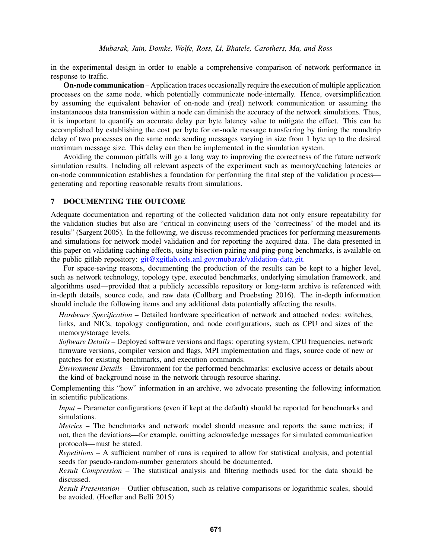in the experimental design in order to enable a comprehensive comparison of network performance in response to traffic.

On-node communication – Application traces occasionally require the execution of multiple application processes on the same node, which potentially communicate node-internally. Hence, oversimplification by assuming the equivalent behavior of on-node and (real) network communication or assuming the instantaneous data transmission within a node can diminish the accuracy of the network simulations. Thus, it is important to quantify an accurate delay per byte latency value to mitigate the effect. This can be accomplished by establishing the cost per byte for on-node message transferring by timing the roundtrip delay of two processes on the same node sending messages varying in size from 1 byte up to the desired maximum message size. This delay can then be implemented in the simulation system.

Avoiding the common pitfalls will go a long way to improving the correctness of the future network simulation results. Including all relevant aspects of the experiment such as memory/caching latencies or on-node communication establishes a foundation for performing the final step of the validation process generating and reporting reasonable results from simulations.

## 7 DOCUMENTING THE OUTCOME

Adequate documentation and reporting of the collected validation data not only ensure repeatability for the validation studies but also are "critical in convincing users of the 'correctness' of the model and its results" (Sargent 2005). In the following, we discuss recommended practices for performing measurements and simulations for network model validation and for reporting the acquired data. The data presented in this paper on validating caching effects, using bisection pairing and ping-pong benchmarks, is available on the public gitlab repository: git@xgitlab.cels.anl.gov:mubarak/validation-data.git.

For space-saving reasons, documenting the production of the results can be kept to a higher level, such as network technology, topology type, executed benchmarks, underlying simulation framework, and algorithms used—provided that a publicly accessible repository or long-term archive is referenced with in-depth details, source code, and raw data (Collberg and Proebsting 2016). The in-depth information should include the following items and any additional data potentially affecting the results.

*Hardware Specification* – Detailed hardware specification of network and attached nodes: switches, links, and NICs, topology configuration, and node configurations, such as CPU and sizes of the memory/storage levels.

*Software Details* – Deployed software versions and flags: operating system, CPU frequencies, network firmware versions, compiler version and flags, MPI implementation and flags, source code of new or patches for existing benchmarks, and execution commands.

*Environment Details* – Environment for the performed benchmarks: exclusive access or details about the kind of background noise in the network through resource sharing.

Complementing this "how" information in an archive, we advocate presenting the following information in scientific publications.

*Input* – Parameter configurations (even if kept at the default) should be reported for benchmarks and simulations.

*Metrics* – The benchmarks and network model should measure and reports the same metrics; if not, then the deviations—for example, omitting acknowledge messages for simulated communication protocols—must be stated.

*Repetitions* – A sufficient number of runs is required to allow for statistical analysis, and potential seeds for pseudo-random-number generators should be documented.

*Result Compression* – The statistical analysis and filtering methods used for the data should be discussed.

*Result Presentation* – Outlier obfuscation, such as relative comparisons or logarithmic scales, should be avoided. (Hoefler and Belli 2015)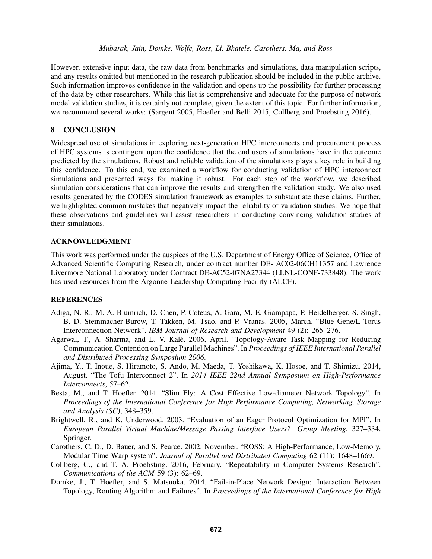However, extensive input data, the raw data from benchmarks and simulations, data manipulation scripts, and any results omitted but mentioned in the research publication should be included in the public archive. Such information improves confidence in the validation and opens up the possibility for further processing of the data by other researchers. While this list is comprehensive and adequate for the purpose of network model validation studies, it is certainly not complete, given the extent of this topic. For further information, we recommend several works: (Sargent 2005, Hoefler and Belli 2015, Collberg and Proebsting 2016).

## 8 CONCLUSION

Widespread use of simulations in exploring next-generation HPC interconnects and procurement process of HPC systems is contingent upon the confidence that the end users of simulations have in the outcome predicted by the simulations. Robust and reliable validation of the simulations plays a key role in building this confidence. To this end, we examined a workflow for conducting validation of HPC interconnect simulations and presented ways for making it robust. For each step of the workflow, we described simulation considerations that can improve the results and strengthen the validation study. We also used results generated by the CODES simulation framework as examples to substantiate these claims. Further, we highlighted common mistakes that negatively impact the reliability of validation studies. We hope that these observations and guidelines will assist researchers in conducting convincing validation studies of their simulations.

## ACKNOWLEDGMENT

This work was performed under the auspices of the U.S. Department of Energy Office of Science, Office of Advanced Scientific Computing Research, under contract number DE- AC02-06CH11357 and Lawrence Livermore National Laboratory under Contract DE-AC52-07NA27344 (LLNL-CONF-733848). The work has used resources from the Argonne Leadership Computing Facility (ALCF).

### REFERENCES

- Adiga, N. R., M. A. Blumrich, D. Chen, P. Coteus, A. Gara, M. E. Giampapa, P. Heidelberger, S. Singh, B. D. Steinmacher-Burow, T. Takken, M. Tsao, and P. Vranas. 2005, March. "Blue Gene/L Torus Interconnection Network". *IBM Journal of Research and Development* 49 (2): 265–276.
- Agarwal, T., A. Sharma, and L. V. Kalé. 2006, April. "Topology-Aware Task Mapping for Reducing Communication Contention on Large Parallel Machines". In *Proceedings of IEEE International Parallel and Distributed Processing Symposium 2006*.
- Ajima, Y., T. Inoue, S. Hiramoto, S. Ando, M. Maeda, T. Yoshikawa, K. Hosoe, and T. Shimizu. 2014, August. "The Tofu Interconnect 2". In *2014 IEEE 22nd Annual Symposium on High-Performance Interconnects*, 57–62.
- Besta, M., and T. Hoefler. 2014. "Slim Fly: A Cost Effective Low-diameter Network Topology". In *Proceedings of the International Conference for High Performance Computing, Networking, Storage and Analysis (SC)*, 348–359.
- Brightwell, R., and K. Underwood. 2003. "Evaluation of an Eager Protocol Optimization for MPI". In *European Parallel Virtual Machine/Message Passing Interface Users? Group Meeting*, 327–334. Springer.
- Carothers, C. D., D. Bauer, and S. Pearce. 2002, November. "ROSS: A High-Performance, Low-Memory, Modular Time Warp system". *Journal of Parallel and Distributed Computing* 62 (11): 1648–1669.
- Collberg, C., and T. A. Proebsting. 2016, February. "Repeatability in Computer Systems Research". *Communications of the ACM* 59 (3): 62–69.
- Domke, J., T. Hoefler, and S. Matsuoka. 2014. "Fail-in-Place Network Design: Interaction Between Topology, Routing Algorithm and Failures". In *Proceedings of the International Conference for High*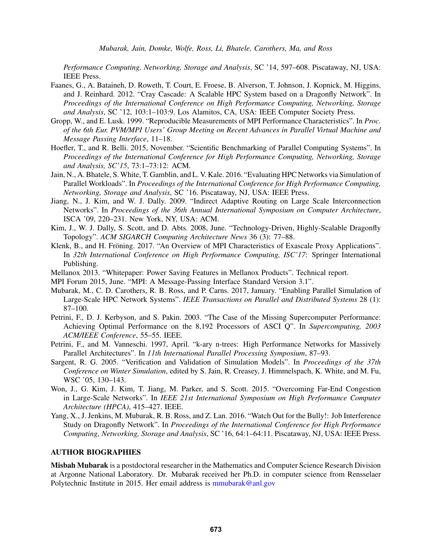*Performance Computing, Networking, Storage and Analysis*, SC '14, 597–608. Piscataway, NJ, USA: IEEE Press.

- Faanes, G., A. Bataineh, D. Roweth, T. Court, E. Froese, B. Alverson, T. Johnson, J. Kopnick, M. Higgins, and J. Reinhard. 2012. "Cray Cascade: A Scalable HPC System based on a Dragonfly Network". In *Proceedings of the International Conference on High Performance Computing, Networking, Storage and Analysis*, SC '12, 103:1–103:9. Los Alamitos, CA, USA: IEEE Computer Society Press.
- Gropp, W., and E. Lusk. 1999. "Reproducible Measurements of MPI Performance Characteristics". In *Proc. of the 6th Eur. PVM/MPI Users' Group Meeting on Recent Advances in Parallel Virtual Machine and Message Passing Interface*, 11–18.
- Hoefler, T., and R. Belli. 2015, November. "Scientific Benchmarking of Parallel Computing Systems". In *Proceedings of the International Conference for High Performance Computing, Networking, Storage and Analysis, SC'15*, 73:1–73:12: ACM.
- Jain, N., A. Bhatele, S.White, T. Gamblin, and L. V. Kale. 2016. "Evaluating HPC Networks via Simulation of Parallel Workloads". In *Proceedings of the International Conference for High Performance Computing, Networking, Storage and Analysis*, SC '16. Piscataway, NJ, USA: IEEE Press.
- Jiang, N., J. Kim, and W. J. Dally. 2009. "Indirect Adaptive Routing on Large Scale Interconnection Networks". In *Proceedings of the 36th Annual International Symposium on Computer Architecture*, ISCA '09, 220–231. New York, NY, USA: ACM.
- Kim, J., W. J. Dally, S. Scott, and D. Abts. 2008, June. "Technology-Driven, Highly-Scalable Dragonfly Topology". *ACM SIGARCH Computing Architecture News* 36 (3): 77–88.
- Klenk, B., and H. Fröning. 2017. "An Overview of MPI Characteristics of Exascale Proxy Applications". In *32th International Conference on High Performance Computing, ISC'17*: Springer International Publishing.
- Mellanox 2013. "Whitepaper: Power Saving Features in Mellanox Products". Technical report.
- MPI Forum 2015, June. "MPI: A Message-Passing Interface Standard Version 3.1".
- Mubarak, M., C. D. Carothers, R. B. Ross, and P. Carns. 2017, January. "Enabling Parallel Simulation of Large-Scale HPC Network Systems". *IEEE Transactions on Parallel and Distributed Systems* 28 (1): 87–100.
- Petrini, F., D. J. Kerbyson, and S. Pakin. 2003. "The Case of the Missing Supercomputer Performance: Achieving Optimal Performance on the 8,192 Processors of ASCI Q". In *Supercomputing, 2003 ACM/IEEE Conference*, 55–55. IEEE.
- Petrini, F., and M. Vanneschi. 1997, April. "k-ary n-trees: High Performance Networks for Massively Parallel Architectures". In *11th International Parallel Processing Symposium*, 87–93.
- Sargent, R. G. 2005. "Verification and Validation of Simulation Models". In *Proceedings of the 37th Conference on Winter Simulation*, edited by S. Jain, R. Creasey, J. Himmelspach, K. White, and M. Fu, WSC '05, 130–143.
- Won, J., G. Kim, J. Kim, T. Jiang, M. Parker, and S. Scott. 2015. "Overcoming Far-End Congestion in Large-Scale Networks". In *IEEE 21st International Symposium on High Performance Computer Architecture (HPCA)*, 415–427. IEEE.
- Yang, X., J. Jenkins, M. Mubarak, R. B. Ross, and Z. Lan. 2016. "Watch Out for the Bully!: Job Interference Study on Dragonfly Network". In *Proceedings of the International Conference for High Performance Computing, Networking, Storage and Analysis*, SC '16, 64:1–64:11. Piscataway, NJ, USA: IEEE Press.

### AUTHOR BIOGRAPHIES

Misbah Mubarak is a postdoctoral researcher in the Mathematics and Computer Science Research Division at Argonne National Laboratory. Dr. Mubarak received her Ph.D. in computer science from Rensselaer Polytechnic Institute in 2015. Her email address is mmubarak@anl.gov